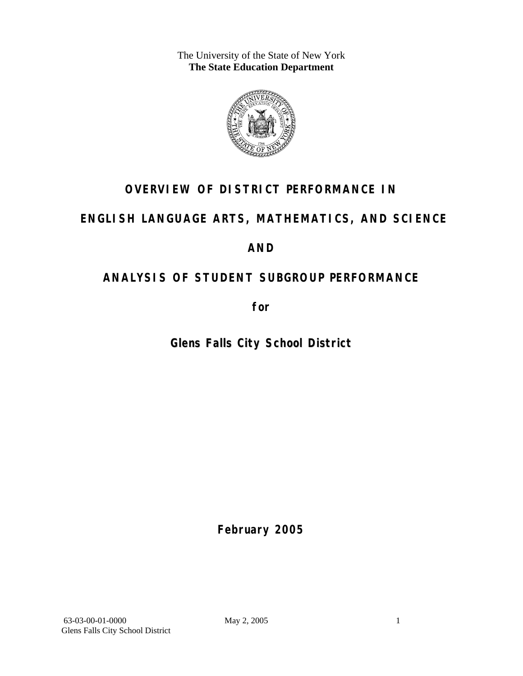The University of the State of New York **The State Education Department** 



## **OVERVIEW OF DISTRICT PERFORMANCE IN**

## **ENGLISH LANGUAGE ARTS, MATHEMATICS, AND SCIENCE**

## **AND**

## **ANALYSIS OF STUDENT SUBGROUP PERFORMANCE**

**for** 

**Glens Falls City School District**

**February 2005**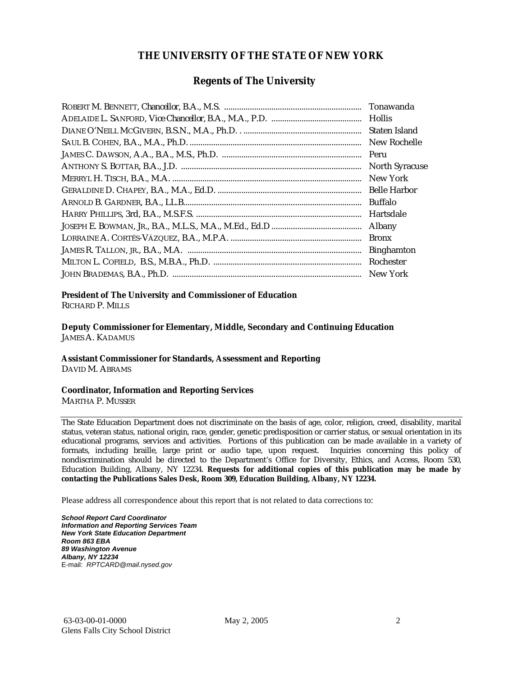#### **THE UNIVERSITY OF THE STATE OF NEW YORK**

#### **Regents of The University**

| Tonawanda             |
|-----------------------|
|                       |
| Staten Island         |
| New Rochelle          |
| Peru                  |
| <b>North Syracuse</b> |
| New York              |
| <b>Belle Harbor</b>   |
| <b>Buffalo</b>        |
| Hartsdale             |
| Albany                |
| <b>Bronx</b>          |
| <b>Binghamton</b>     |
| Rochester             |
| New York              |

## **President of The University and Commissioner of Education**

RICHARD P. MILLS

**Deputy Commissioner for Elementary, Middle, Secondary and Continuing Education**  JAMES A. KADAMUS

#### **Assistant Commissioner for Standards, Assessment and Reporting**  DAVID M. ABRAMS

**Coordinator, Information and Reporting Services** 

MARTHA P. MUSSER

The State Education Department does not discriminate on the basis of age, color, religion, creed, disability, marital status, veteran status, national origin, race, gender, genetic predisposition or carrier status, or sexual orientation in its educational programs, services and activities. Portions of this publication can be made available in a variety of formats, including braille, large print or audio tape, upon request. Inquiries concerning this policy of nondiscrimination should be directed to the Department's Office for Diversity, Ethics, and Access, Room 530, Education Building, Albany, NY 12234. **Requests for additional copies of this publication may be made by contacting the Publications Sales Desk, Room 309, Education Building, Albany, NY 12234.** 

Please address all correspondence about this report that is not related to data corrections to:

*School Report Card Coordinator Information and Reporting Services Team New York State Education Department Room 863 EBA 89 Washington Avenue Albany, NY 12234*  E-mail: *RPTCARD@mail.nysed.gov*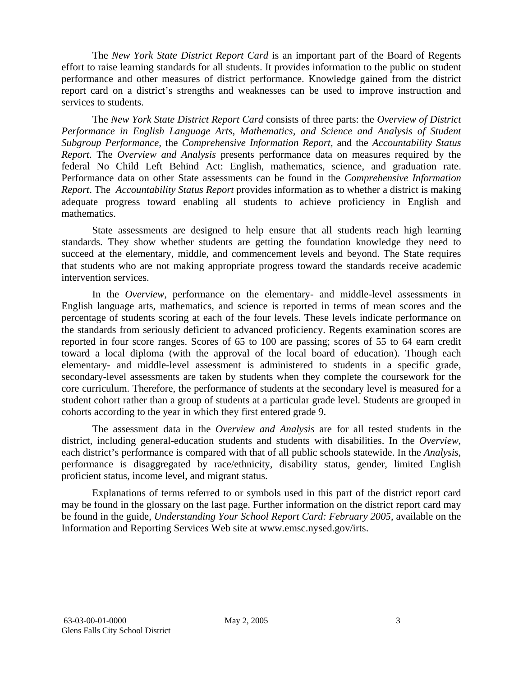The *New York State District Report Card* is an important part of the Board of Regents effort to raise learning standards for all students. It provides information to the public on student performance and other measures of district performance. Knowledge gained from the district report card on a district's strengths and weaknesses can be used to improve instruction and services to students.

The *New York State District Report Card* consists of three parts: the *Overview of District Performance in English Language Arts, Mathematics, and Science and Analysis of Student Subgroup Performance,* the *Comprehensive Information Report,* and the *Accountability Status Report.* The *Overview and Analysis* presents performance data on measures required by the federal No Child Left Behind Act: English, mathematics, science, and graduation rate. Performance data on other State assessments can be found in the *Comprehensive Information Report*. The *Accountability Status Report* provides information as to whether a district is making adequate progress toward enabling all students to achieve proficiency in English and mathematics.

State assessments are designed to help ensure that all students reach high learning standards. They show whether students are getting the foundation knowledge they need to succeed at the elementary, middle, and commencement levels and beyond. The State requires that students who are not making appropriate progress toward the standards receive academic intervention services.

In the *Overview*, performance on the elementary- and middle-level assessments in English language arts, mathematics, and science is reported in terms of mean scores and the percentage of students scoring at each of the four levels. These levels indicate performance on the standards from seriously deficient to advanced proficiency. Regents examination scores are reported in four score ranges. Scores of 65 to 100 are passing; scores of 55 to 64 earn credit toward a local diploma (with the approval of the local board of education). Though each elementary- and middle-level assessment is administered to students in a specific grade, secondary-level assessments are taken by students when they complete the coursework for the core curriculum. Therefore, the performance of students at the secondary level is measured for a student cohort rather than a group of students at a particular grade level. Students are grouped in cohorts according to the year in which they first entered grade 9.

The assessment data in the *Overview and Analysis* are for all tested students in the district, including general-education students and students with disabilities. In the *Overview*, each district's performance is compared with that of all public schools statewide. In the *Analysis*, performance is disaggregated by race/ethnicity, disability status, gender, limited English proficient status, income level, and migrant status.

Explanations of terms referred to or symbols used in this part of the district report card may be found in the glossary on the last page. Further information on the district report card may be found in the guide, *Understanding Your School Report Card: February 2005*, available on the Information and Reporting Services Web site at www.emsc.nysed.gov/irts.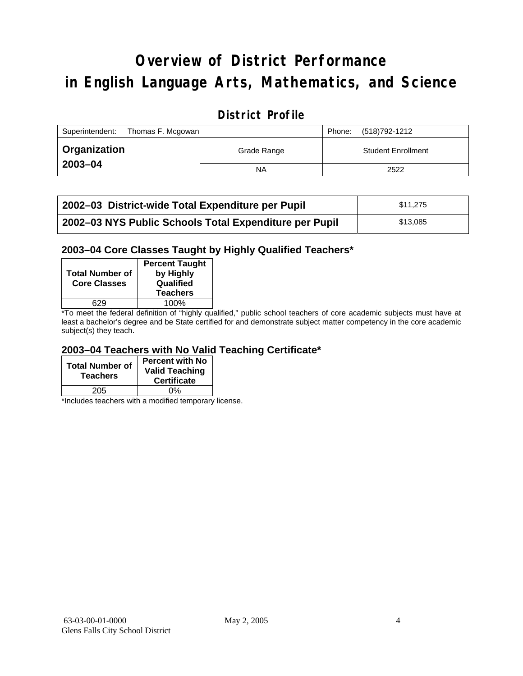## **Overview of District Performance in English Language Arts, Mathematics, and Science**

#### **District Profile**

| Superintendent:<br>Thomas F. Mcgowan |             | Phone: | (518)792-1212             |
|--------------------------------------|-------------|--------|---------------------------|
| <b>∪ Organization</b>                | Grade Range |        | <b>Student Enrollment</b> |
| 2003-04                              | <b>NA</b>   |        | 2522                      |

| 2002–03 District-wide Total Expenditure per Pupil      | \$11.275 |
|--------------------------------------------------------|----------|
| 2002-03 NYS Public Schools Total Expenditure per Pupil | \$13,085 |

#### **2003–04 Core Classes Taught by Highly Qualified Teachers\***

| <b>Total Number of</b><br><b>Core Classes</b> | <b>Percent Taught</b><br>by Highly<br>Qualified<br><b>Teachers</b> |
|-----------------------------------------------|--------------------------------------------------------------------|
|                                               | 100%                                                               |
| .                                             | $\cdot$<br>$\cdot\cdot\cdot$                                       |

\*To meet the federal definition of "highly qualified," public school teachers of core academic subjects must have at least a bachelor's degree and be State certified for and demonstrate subject matter competency in the core academic subject(s) they teach.

#### **2003–04 Teachers with No Valid Teaching Certificate\***

| <b>Total Number of</b><br><b>Teachers</b> | <b>Percent with No</b><br><b>Valid Teaching</b><br><b>Certificate</b> |
|-------------------------------------------|-----------------------------------------------------------------------|
| 205                                       | ሰ%                                                                    |

\*Includes teachers with a modified temporary license.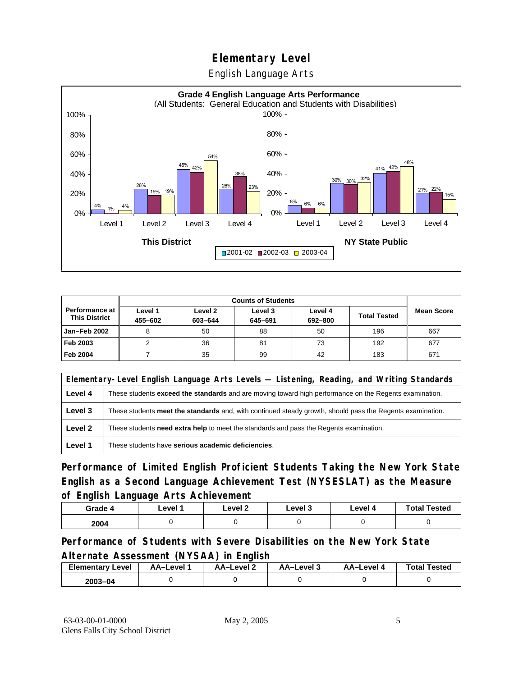English Language Arts



|                                               | <b>Counts of Students</b> |                    |                    |                    |                     |                   |
|-----------------------------------------------|---------------------------|--------------------|--------------------|--------------------|---------------------|-------------------|
| <b>Performance at</b><br><b>This District</b> | Level 1<br>455-602        | Level 2<br>603-644 | Level 3<br>645-691 | Level 4<br>692-800 | <b>Total Tested</b> | <b>Mean Score</b> |
| <b>Jan-Feb 2002</b>                           |                           | 50                 | 88                 | 50                 | 196                 | 667               |
| Feb 2003                                      |                           | 36                 | 81                 | 73                 | 192                 | 677               |
| <b>Feb 2004</b>                               |                           | 35                 | 99                 | 42                 | 183                 | 671               |

|         | Elementary-Level English Language Arts Levels — Listening, Reading, and Writing Standards                 |
|---------|-----------------------------------------------------------------------------------------------------------|
| Level 4 | These students exceed the standards and are moving toward high performance on the Regents examination.    |
| Level 3 | These students meet the standards and, with continued steady growth, should pass the Regents examination. |
| Level 2 | These students <b>need extra help</b> to meet the standards and pass the Regents examination.             |
| Level 1 | These students have serious academic deficiencies.                                                        |

**Performance of Limited English Proficient Students Taking the New York State English as a Second Language Achievement Test (NYSESLAT) as the Measure of English Language Arts Achievement**

| Grade 4 | Level 1 | Level 2 | Level 3 | Level 4 | <b>Total Tested</b> |
|---------|---------|---------|---------|---------|---------------------|
| 2004    |         |         |         |         |                     |

**Performance of Students with Severe Disabilities on the New York State Alternate Assessment (NYSAA) in English** 

| <b>Elementary Level</b> | AA–Level . | AA-Level 2 | ذ AA–Level | AA-Level 4 | <b>Total Tested</b> |
|-------------------------|------------|------------|------------|------------|---------------------|
| 2003-04                 |            |            |            |            |                     |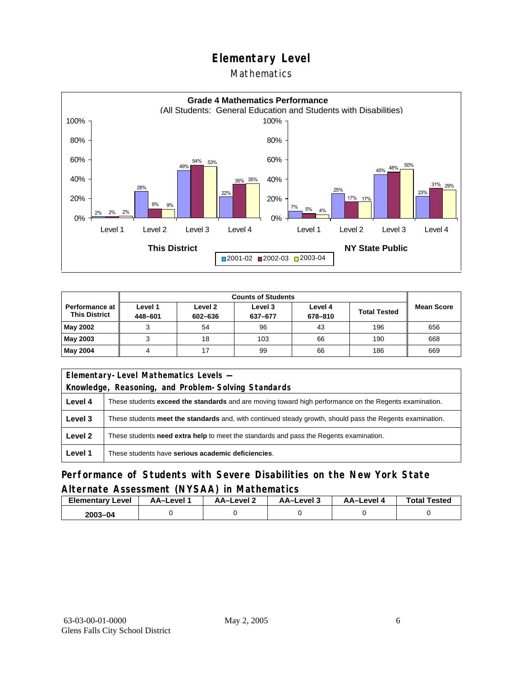#### Mathematics



|                                        | <b>Counts of Students</b> |                    |                    |                    |                     |                   |
|----------------------------------------|---------------------------|--------------------|--------------------|--------------------|---------------------|-------------------|
| Performance at<br><b>This District</b> | Level 1<br>448-601        | Level 2<br>602-636 | Level 3<br>637-677 | Level 4<br>678-810 | <b>Total Tested</b> | <b>Mean Score</b> |
| May 2002                               | 2                         | 54                 | 96                 | 43                 | 196                 | 656               |
| May 2003                               |                           | 18                 | 103                | 66                 | 190                 | 668               |
| May 2004                               |                           |                    | 99                 | 66                 | 186                 | 669               |

| Elementary-Level Mathematics Levels - |                                                                                                           |  |  |  |
|---------------------------------------|-----------------------------------------------------------------------------------------------------------|--|--|--|
|                                       | Knowledge, Reasoning, and Problem-Solving Standards                                                       |  |  |  |
| Level 4                               | These students exceed the standards and are moving toward high performance on the Regents examination.    |  |  |  |
| Level 3                               | These students meet the standards and, with continued steady growth, should pass the Regents examination. |  |  |  |
| Level 2                               | These students need extra help to meet the standards and pass the Regents examination.                    |  |  |  |
| Level 1                               | These students have serious academic deficiencies.                                                        |  |  |  |

#### **Performance of Students with Severe Disabilities on the New York State Alternate Assessment (NYSAA) in Mathematics**

| <b>Elementary Level</b> | AA-Level | <b>AA-Level 2</b> | AA-Level 3 | AA-Level 4 | <b>Total Tested</b> |
|-------------------------|----------|-------------------|------------|------------|---------------------|
| 2003-04                 |          |                   |            |            |                     |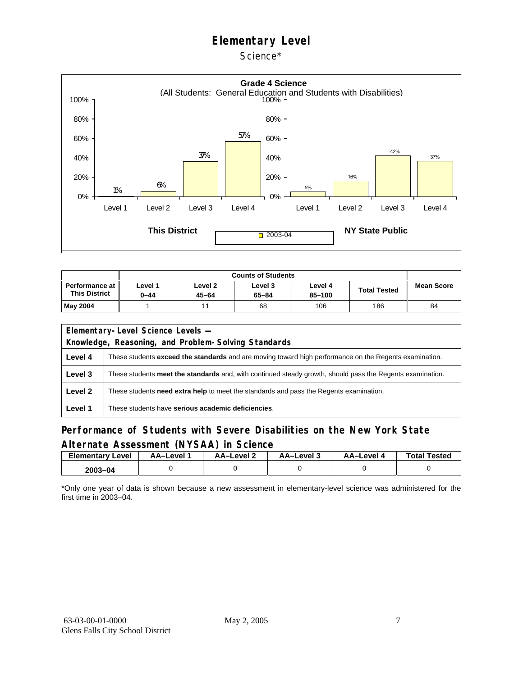Science\*



| Performance at I<br><b>This District</b> | ∟evel 1<br>0-44 | Level 2<br>45-64 | Level 3<br>65-84 | Level 4<br>85-100 | <b>Total Tested</b> | <b>Mean Score</b> |
|------------------------------------------|-----------------|------------------|------------------|-------------------|---------------------|-------------------|
| <b>May 2004</b>                          |                 |                  | 68               | 106               | 186                 | 84                |

| Elementary-Level Science Levels - |                                                                                                           |  |  |  |  |
|-----------------------------------|-----------------------------------------------------------------------------------------------------------|--|--|--|--|
|                                   | Knowledge, Reasoning, and Problem-Solving Standards                                                       |  |  |  |  |
| Level 4                           | These students exceed the standards and are moving toward high performance on the Regents examination.    |  |  |  |  |
| Level 3                           | These students meet the standards and, with continued steady growth, should pass the Regents examination. |  |  |  |  |
| Level 2                           | These students <b>need extra help</b> to meet the standards and pass the Regents examination.             |  |  |  |  |
| Level 1                           | These students have serious academic deficiencies.                                                        |  |  |  |  |

#### **Performance of Students with Severe Disabilities on the New York State Alternate Assessment (NYSAA) in Science**

| <b>Elementary</b><br>Level | AA-Level | AA-Level 2 | AA-Level 3 | AA-Level 4 | <b>Total Tested</b> |
|----------------------------|----------|------------|------------|------------|---------------------|
| 2003-04                    |          |            |            |            |                     |

\*Only one year of data is shown because a new assessment in elementary-level science was administered for the first time in 2003–04.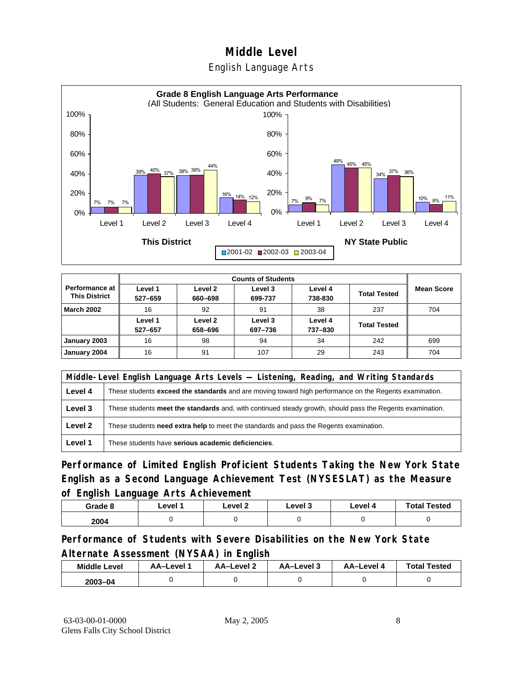#### English Language Arts



|                                                 | <b>Counts of Students</b> |                    |                    |                    |                     |                   |  |
|-------------------------------------------------|---------------------------|--------------------|--------------------|--------------------|---------------------|-------------------|--|
| <b>Performance at I</b><br><b>This District</b> | Level 1<br>527-659        | Level 2<br>660-698 | Level 3<br>699-737 | Level 4<br>738-830 | <b>Total Tested</b> | <b>Mean Score</b> |  |
| <b>March 2002</b>                               | 16                        | 92                 | 91                 | 38                 | 237                 | 704               |  |
|                                                 | Level 1<br>527-657        | Level 2<br>658-696 | Level 3<br>697-736 | Level 4<br>737-830 | <b>Total Tested</b> |                   |  |
| January 2003                                    | 16                        | 98                 | 94                 | 34                 | 242                 | 699               |  |
| January 2004                                    | 16                        | 91                 | 107                | 29                 | 243                 | 704               |  |

|         | Middle-Level English Language Arts Levels — Listening, Reading, and Writing Standards                         |  |  |  |  |
|---------|---------------------------------------------------------------------------------------------------------------|--|--|--|--|
| Level 4 | These students <b>exceed the standards</b> and are moving toward high performance on the Regents examination. |  |  |  |  |
| Level 3 | These students meet the standards and, with continued steady growth, should pass the Regents examination.     |  |  |  |  |
| Level 2 | These students need extra help to meet the standards and pass the Regents examination.                        |  |  |  |  |
| Level 1 | These students have serious academic deficiencies.                                                            |  |  |  |  |

**Performance of Limited English Proficient Students Taking the New York State English as a Second Language Achievement Test (NYSESLAT) as the Measure of English Language Arts Achievement**

| Grade 8 | Level 1 | Level 2 | Level 3 | Level 4 | <b>Total Tested</b> |
|---------|---------|---------|---------|---------|---------------------|
| 2004    |         |         |         |         |                     |

**Performance of Students with Severe Disabilities on the New York State Alternate Assessment (NYSAA) in English** 

| <b>Middle Level</b> | AA-Level | <b>AA-Level 2</b> | AA-Level 3 | AA–Level 4 | <b>Total Tested</b> |
|---------------------|----------|-------------------|------------|------------|---------------------|
| $2003 - 04$         |          |                   |            |            |                     |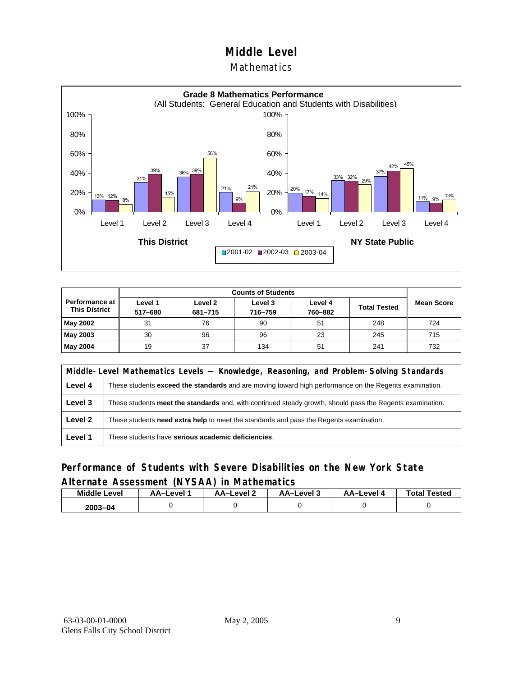#### **Mathematics**



|                                               |                                                                                                             | <b>Counts of Students</b> |                   |    |     |     |  |  |  |  |
|-----------------------------------------------|-------------------------------------------------------------------------------------------------------------|---------------------------|-------------------|----|-----|-----|--|--|--|--|
| <b>Performance at</b><br><b>This District</b> | Level 1<br>Level 2<br>Level 3<br>Level 4<br><b>Total Tested</b><br>517-680<br>760-882<br>716-759<br>681-715 |                           | <b>Mean Score</b> |    |     |     |  |  |  |  |
| May 2002                                      | 31                                                                                                          | 76                        | 90                | 51 | 248 | 724 |  |  |  |  |
| May 2003                                      | 30                                                                                                          | 96                        | 96                | 23 | 245 | 715 |  |  |  |  |
| May 2004                                      | 19                                                                                                          | 37                        | 134               | 51 | 241 | 732 |  |  |  |  |

|         | Middle-Level Mathematics Levels — Knowledge, Reasoning, and Problem-Solving Standards                     |  |  |  |  |
|---------|-----------------------------------------------------------------------------------------------------------|--|--|--|--|
| Level 4 | These students exceed the standards and are moving toward high performance on the Regents examination.    |  |  |  |  |
| Level 3 | These students meet the standards and, with continued steady growth, should pass the Regents examination. |  |  |  |  |
| Level 2 | These students need extra help to meet the standards and pass the Regents examination.                    |  |  |  |  |
| Level 1 | These students have serious academic deficiencies.                                                        |  |  |  |  |

#### **Performance of Students with Severe Disabilities on the New York State Alternate Assessment (NYSAA) in Mathematics**

| <b>Middle</b><br>Level | AA–Level . | AA-Level 2 | AA-Level 3 | AA–Level 4 | <b>Total Tested</b> |
|------------------------|------------|------------|------------|------------|---------------------|
| $2003 - 04$            |            |            |            |            |                     |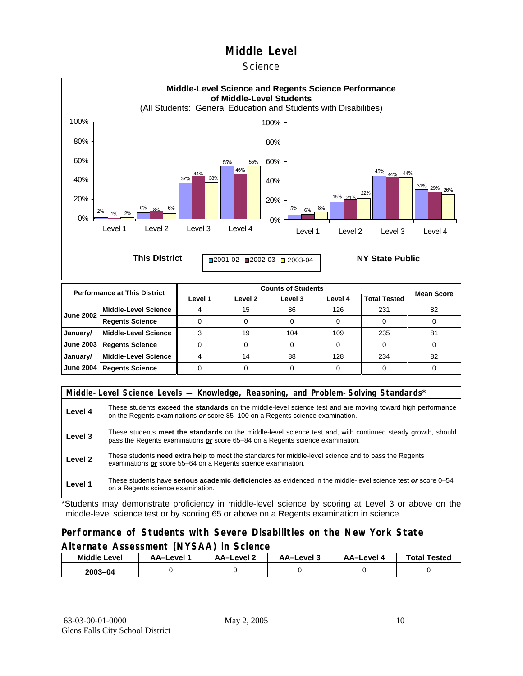#### **Science**



| <b>June 2002</b> | Middle-Level Science        | 15 | 86  | 126 | 231 | 82 |
|------------------|-----------------------------|----|-----|-----|-----|----|
|                  | <b>Regents Science</b>      |    |     |     |     |    |
| January/         | Middle-Level Science        | 19 | 104 | 109 | 235 | 81 |
|                  | June 2003   Regents Science |    |     |     |     |    |
| January/         | Middle-Level Science        | 14 | 88  | 128 | 234 | 82 |
|                  | June 2004   Regents Science |    |     |     |     |    |

|         | Middle-Level Science Levels — Knowledge, Reasoning, and Problem-Solving Standards*                                                                                                                  |  |  |  |  |
|---------|-----------------------------------------------------------------------------------------------------------------------------------------------------------------------------------------------------|--|--|--|--|
| Level 4 | These students <b>exceed the standards</b> on the middle-level science test and are moving toward high performance<br>on the Regents examinations or score 85–100 on a Regents science examination. |  |  |  |  |
| Level 3 | These students meet the standards on the middle-level science test and, with continued steady growth, should<br>pass the Regents examinations or score 65–84 on a Regents science examination.      |  |  |  |  |
| Level 2 | These students need extra help to meet the standards for middle-level science and to pass the Regents<br>examinations or score 55-64 on a Regents science examination.                              |  |  |  |  |
| Level 1 | These students have serious academic deficiencies as evidenced in the middle-level science test or score 0–54<br>on a Regents science examination.                                                  |  |  |  |  |

\*Students may demonstrate proficiency in middle-level science by scoring at Level 3 or above on the middle-level science test or by scoring 65 or above on a Regents examination in science.

#### **Performance of Students with Severe Disabilities on the New York State Alternate Assessment (NYSAA) in Science**

| <b>Middle Level</b> | AA–Level | AA-Level 2 | AA-Level 3 | <b>AA-Level 4</b> | <b>Total Tested</b> |  |
|---------------------|----------|------------|------------|-------------------|---------------------|--|
| $2003 - 04$         |          |            |            |                   |                     |  |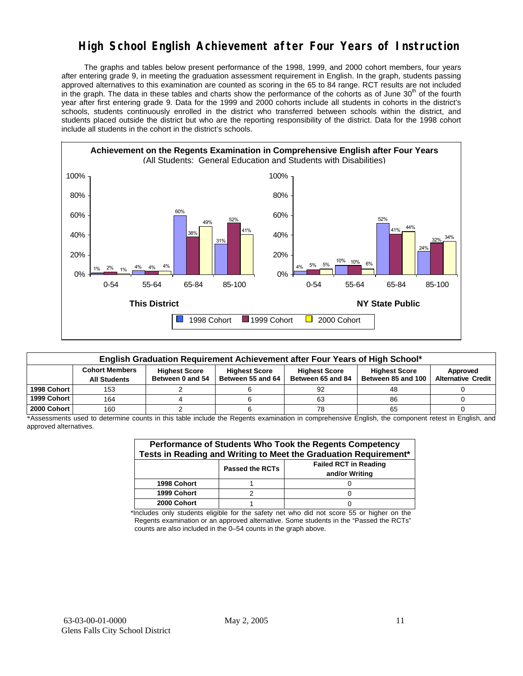## **High School English Achievement after Four Years of Instruction**

 The graphs and tables below present performance of the 1998, 1999, and 2000 cohort members, four years after entering grade 9, in meeting the graduation assessment requirement in English. In the graph, students passing approved alternatives to this examination are counted as scoring in the 65 to 84 range. RCT results are not included in the graph. The data in these tables and charts show the performance of the cohorts as of June 30<sup>th</sup> of the fourth year after first entering grade 9. Data for the 1999 and 2000 cohorts include all students in cohorts in the district's schools, students continuously enrolled in the district who transferred between schools within the district, and students placed outside the district but who are the reporting responsibility of the district. Data for the 1998 cohort include all students in the cohort in the district's schools.



| English Graduation Requirement Achievement after Four Years of High School* |                                                                                                                                   |                  |                   |                   |                    |                           |  |  |  |  |
|-----------------------------------------------------------------------------|-----------------------------------------------------------------------------------------------------------------------------------|------------------|-------------------|-------------------|--------------------|---------------------------|--|--|--|--|
|                                                                             | <b>Cohort Members</b><br><b>Highest Score</b><br><b>Highest Score</b><br><b>Highest Score</b><br><b>Highest Score</b><br>Approved |                  |                   |                   |                    |                           |  |  |  |  |
|                                                                             | <b>All Students</b>                                                                                                               | Between 0 and 54 | Between 55 and 64 | Between 65 and 84 | Between 85 and 100 | <b>Alternative Credit</b> |  |  |  |  |
| 1998 Cohort                                                                 | 153                                                                                                                               |                  |                   | 92                | 48                 |                           |  |  |  |  |
| 1999 Cohort                                                                 | 164                                                                                                                               |                  |                   | 63                | 86                 |                           |  |  |  |  |
| 2000 Cohort                                                                 | 160                                                                                                                               |                  |                   |                   | 65                 |                           |  |  |  |  |

\*Assessments used to determine counts in this table include the Regents examination in comprehensive English, the component retest in English, and approved alternatives.

| Performance of Students Who Took the Regents Competency<br>Tests in Reading and Writing to Meet the Graduation Requirement* |  |  |  |  |  |  |  |  |
|-----------------------------------------------------------------------------------------------------------------------------|--|--|--|--|--|--|--|--|
| <b>Failed RCT in Reading</b><br><b>Passed the RCTs</b><br>and/or Writing                                                    |  |  |  |  |  |  |  |  |
| 1998 Cohort                                                                                                                 |  |  |  |  |  |  |  |  |
| 1999 Cohort                                                                                                                 |  |  |  |  |  |  |  |  |
| 2000 Cohort                                                                                                                 |  |  |  |  |  |  |  |  |

\*Includes only students eligible for the safety net who did not score 55 or higher on the Regents examination or an approved alternative. Some students in the "Passed the RCTs" counts are also included in the 0–54 counts in the graph above.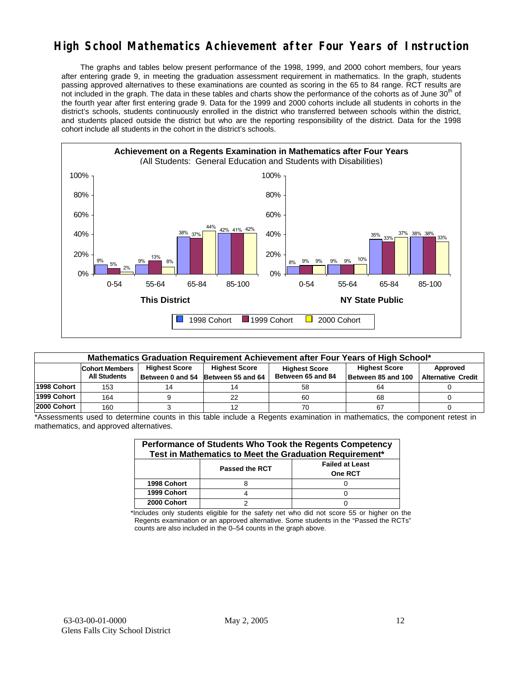## **High School Mathematics Achievement after Four Years of Instruction**

 The graphs and tables below present performance of the 1998, 1999, and 2000 cohort members, four years after entering grade 9, in meeting the graduation assessment requirement in mathematics. In the graph, students passing approved alternatives to these examinations are counted as scoring in the 65 to 84 range. RCT results are not included in the graph. The data in these tables and charts show the performance of the cohorts as of June 30<sup>th</sup> of the fourth year after first entering grade 9. Data for the 1999 and 2000 cohorts include all students in cohorts in the district's schools, students continuously enrolled in the district who transferred between schools within the district, and students placed outside the district but who are the reporting responsibility of the district. Data for the 1998 cohort include all students in the cohort in the district's schools.



| Mathematics Graduation Requirement Achievement after Four Years of High School* |                       |                      |                   |                   |                    |                           |  |  |  |  |
|---------------------------------------------------------------------------------|-----------------------|----------------------|-------------------|-------------------|--------------------|---------------------------|--|--|--|--|
|                                                                                 | <b>Cohort Members</b> | <b>Highest Score</b> | Approved          |                   |                    |                           |  |  |  |  |
|                                                                                 | <b>All Students</b>   | Between 0 and 54     | Between 55 and 64 | Between 65 and 84 | Between 85 and 100 | <b>Alternative Credit</b> |  |  |  |  |
| 1998 Cohort                                                                     | 153                   | 14                   |                   | 58                | 64                 |                           |  |  |  |  |
| 1999 Cohort                                                                     | 164                   |                      | 22                | 60                | 68                 |                           |  |  |  |  |
| 2000 Cohort                                                                     | 160                   |                      |                   | 70                | 67                 |                           |  |  |  |  |

\*Assessments used to determine counts in this table include a Regents examination in mathematics, the component retest in mathematics, and approved alternatives.

| Performance of Students Who Took the Regents Competency<br>Test in Mathematics to Meet the Graduation Requirement* |                       |                                          |  |  |  |  |  |
|--------------------------------------------------------------------------------------------------------------------|-----------------------|------------------------------------------|--|--|--|--|--|
|                                                                                                                    | <b>Passed the RCT</b> | <b>Failed at Least</b><br><b>One RCT</b> |  |  |  |  |  |
| 1998 Cohort                                                                                                        |                       |                                          |  |  |  |  |  |
| 1999 Cohort                                                                                                        |                       |                                          |  |  |  |  |  |
| 2000 Cohort                                                                                                        |                       |                                          |  |  |  |  |  |

\*Includes only students eligible for the safety net who did not score 55 or higher on the Regents examination or an approved alternative. Some students in the "Passed the RCTs" counts are also included in the 0–54 counts in the graph above.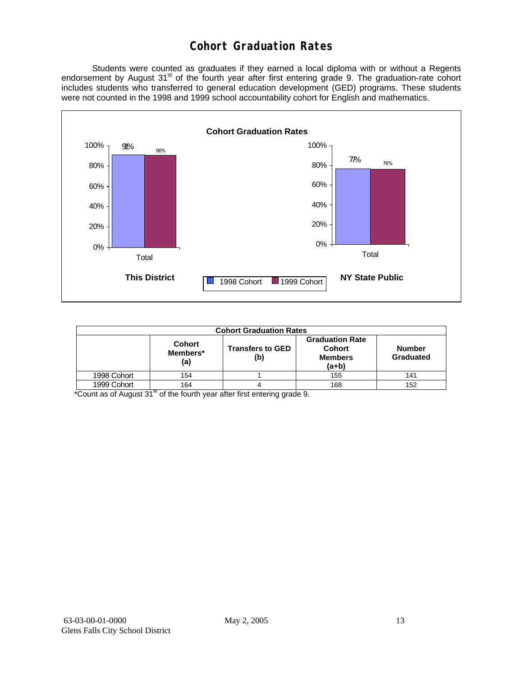## **Cohort Graduation Rates**

 Students were counted as graduates if they earned a local diploma with or without a Regents endorsement by August 31<sup>st</sup> of the fourth year after first entering grade 9. The graduation-rate cohort includes students who transferred to general education development (GED) programs. These students were not counted in the 1998 and 1999 school accountability cohort for English and mathematics.



| <b>Cohort Graduation Rates</b> |                                  |                                |                                                                                                    |     |  |  |  |  |  |
|--------------------------------|----------------------------------|--------------------------------|----------------------------------------------------------------------------------------------------|-----|--|--|--|--|--|
|                                | <b>Cohort</b><br>Members*<br>(a) | <b>Transfers to GED</b><br>(b) | <b>Graduation Rate</b><br><b>Cohort</b><br><b>Number</b><br><b>Members</b><br>Graduated<br>$(a+b)$ |     |  |  |  |  |  |
| 1998 Cohort                    | 154                              |                                | 155                                                                                                | 141 |  |  |  |  |  |
| 1999 Cohort                    | 164                              |                                | 168                                                                                                | 152 |  |  |  |  |  |

\*Count as of August 31<sup>st</sup> of the fourth year after first entering grade 9.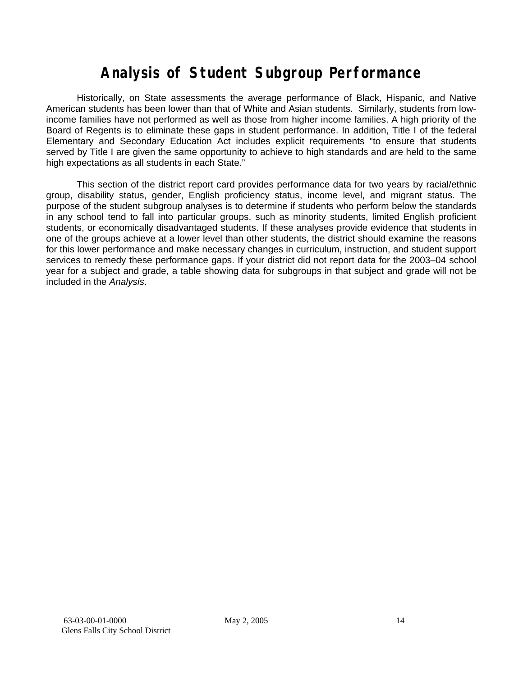## **Analysis of Student Subgroup Performance**

Historically, on State assessments the average performance of Black, Hispanic, and Native American students has been lower than that of White and Asian students. Similarly, students from lowincome families have not performed as well as those from higher income families. A high priority of the Board of Regents is to eliminate these gaps in student performance. In addition, Title I of the federal Elementary and Secondary Education Act includes explicit requirements "to ensure that students served by Title I are given the same opportunity to achieve to high standards and are held to the same high expectations as all students in each State."

This section of the district report card provides performance data for two years by racial/ethnic group, disability status, gender, English proficiency status, income level, and migrant status. The purpose of the student subgroup analyses is to determine if students who perform below the standards in any school tend to fall into particular groups, such as minority students, limited English proficient students, or economically disadvantaged students. If these analyses provide evidence that students in one of the groups achieve at a lower level than other students, the district should examine the reasons for this lower performance and make necessary changes in curriculum, instruction, and student support services to remedy these performance gaps. If your district did not report data for the 2003–04 school year for a subject and grade, a table showing data for subgroups in that subject and grade will not be included in the *Analysis*.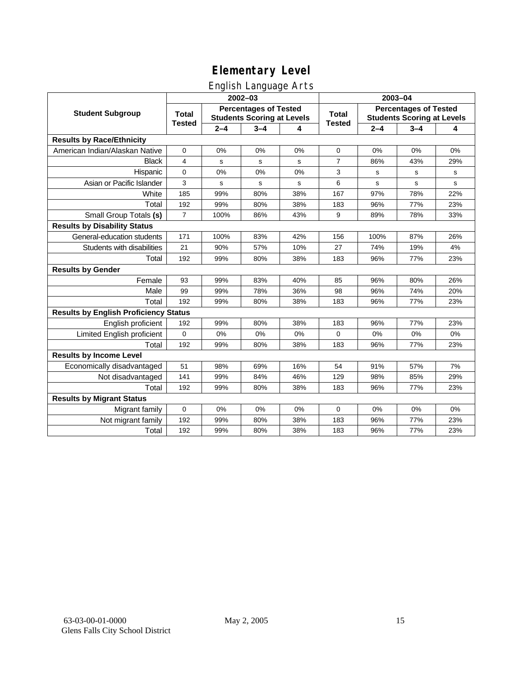## English Language Arts

|                                              |                               |         | ັ<br>$2002 - 03$                                                  |     | 2003-04                       |                                                                   |         |     |
|----------------------------------------------|-------------------------------|---------|-------------------------------------------------------------------|-----|-------------------------------|-------------------------------------------------------------------|---------|-----|
| <b>Student Subgroup</b>                      | <b>Total</b><br><b>Tested</b> |         | <b>Percentages of Tested</b><br><b>Students Scoring at Levels</b> |     | <b>Total</b><br><b>Tested</b> | <b>Percentages of Tested</b><br><b>Students Scoring at Levels</b> |         |     |
|                                              |                               | $2 - 4$ | $3 - 4$                                                           | 4   |                               | $2 - 4$                                                           | $3 - 4$ | 4   |
| <b>Results by Race/Ethnicity</b>             |                               |         |                                                                   |     |                               |                                                                   |         |     |
| American Indian/Alaskan Native               | $\mathbf 0$                   | 0%      | 0%                                                                | 0%  | 0                             | 0%                                                                | 0%      | 0%  |
| <b>Black</b>                                 | 4                             | s       | s                                                                 | s   | $\overline{7}$                | 86%                                                               | 43%     | 29% |
| Hispanic                                     | $\Omega$                      | 0%      | 0%                                                                | 0%  | 3                             | s                                                                 | s       | s   |
| Asian or Pacific Islander                    | 3                             | s       | $\mathbf S$                                                       | s   | 6                             | s                                                                 | s       | s   |
| White                                        | 185                           | 99%     | 80%                                                               | 38% | 167                           | 97%                                                               | 78%     | 22% |
| Total                                        | 192                           | 99%     | 80%                                                               | 38% | 183                           | 96%                                                               | 77%     | 23% |
| Small Group Totals (s)                       | $\overline{7}$                | 100%    | 86%                                                               | 43% | 9                             | 89%                                                               | 78%     | 33% |
| <b>Results by Disability Status</b>          |                               |         |                                                                   |     |                               |                                                                   |         |     |
| General-education students                   | 171                           | 100%    | 83%                                                               | 42% | 156                           | 100%                                                              | 87%     | 26% |
| Students with disabilities                   | 21                            | 90%     | 57%                                                               | 10% | 27                            | 74%                                                               | 19%     | 4%  |
| Total                                        | 192                           | 99%     | 80%                                                               | 38% | 183                           | 96%                                                               | 77%     | 23% |
| <b>Results by Gender</b>                     |                               |         |                                                                   |     |                               |                                                                   |         |     |
| Female                                       | 93                            | 99%     | 83%                                                               | 40% | 85                            | 96%                                                               | 80%     | 26% |
| Male                                         | 99                            | 99%     | 78%                                                               | 36% | 98                            | 96%                                                               | 74%     | 20% |
| Total                                        | 192                           | 99%     | 80%                                                               | 38% | 183                           | 96%                                                               | 77%     | 23% |
| <b>Results by English Proficiency Status</b> |                               |         |                                                                   |     |                               |                                                                   |         |     |
| English proficient                           | 192                           | 99%     | 80%                                                               | 38% | 183                           | 96%                                                               | 77%     | 23% |
| Limited English proficient                   | $\mathbf{0}$                  | 0%      | 0%                                                                | 0%  | $\Omega$                      | 0%                                                                | 0%      | 0%  |
| Total                                        | 192                           | 99%     | 80%                                                               | 38% | 183                           | 96%                                                               | 77%     | 23% |
| <b>Results by Income Level</b>               |                               |         |                                                                   |     |                               |                                                                   |         |     |
| Economically disadvantaged                   | 51                            | 98%     | 69%                                                               | 16% | 54                            | 91%                                                               | 57%     | 7%  |
| Not disadvantaged                            | 141                           | 99%     | 84%                                                               | 46% | 129                           | 98%                                                               | 85%     | 29% |
| Total                                        | 192                           | 99%     | 80%                                                               | 38% | 183                           | 96%                                                               | 77%     | 23% |
| <b>Results by Migrant Status</b>             |                               |         |                                                                   |     |                               |                                                                   |         |     |
| Migrant family                               | $\mathbf 0$                   | 0%      | 0%                                                                | 0%  | $\mathbf 0$                   | 0%                                                                | 0%      | 0%  |
| Not migrant family                           | 192                           | 99%     | 80%                                                               | 38% | 183                           | 96%                                                               | 77%     | 23% |
| Total                                        | 192                           | 99%     | 80%                                                               | 38% | 183                           | 96%                                                               | 77%     | 23% |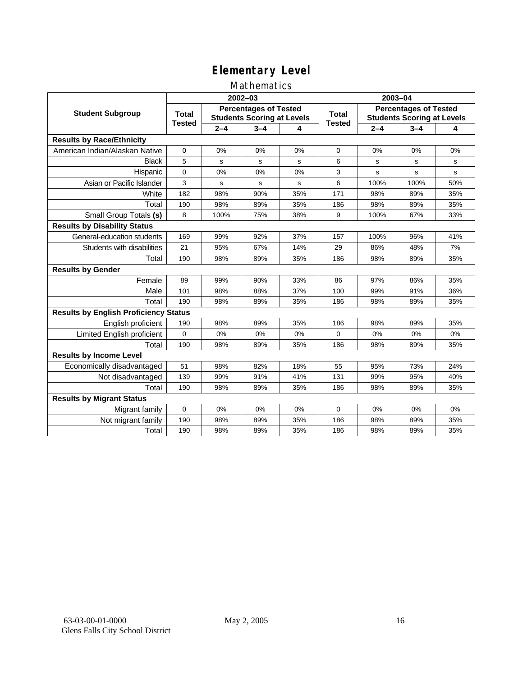#### Mathematics

|                                              |                               |         | 2002-03                                                           |     | 2003-04                       |                                                                   |             |     |
|----------------------------------------------|-------------------------------|---------|-------------------------------------------------------------------|-----|-------------------------------|-------------------------------------------------------------------|-------------|-----|
| <b>Student Subgroup</b>                      | <b>Total</b><br><b>Tested</b> |         | <b>Percentages of Tested</b><br><b>Students Scoring at Levels</b> |     | <b>Total</b><br><b>Tested</b> | <b>Percentages of Tested</b><br><b>Students Scoring at Levels</b> |             |     |
|                                              |                               | $2 - 4$ | $3 - 4$                                                           | 4   |                               | $2 - 4$                                                           | $3 - 4$     | 4   |
| <b>Results by Race/Ethnicity</b>             |                               |         |                                                                   |     |                               |                                                                   |             |     |
| American Indian/Alaskan Native               | $\mathbf{0}$                  | 0%      | 0%                                                                | 0%  | $\Omega$                      | 0%                                                                | 0%          | 0%  |
| <b>Black</b>                                 | 5                             | s       | s                                                                 | s   | 6                             | s                                                                 | s           | s   |
| Hispanic                                     | 0                             | 0%      | 0%                                                                | 0%  | 3                             | s                                                                 | $\mathbf s$ | s   |
| Asian or Pacific Islander                    | 3                             | s       | $\mathsf{s}$                                                      | s   | 6                             | 100%                                                              | 100%        | 50% |
| White                                        | 182                           | 98%     | 90%                                                               | 35% | 171                           | 98%                                                               | 89%         | 35% |
| Total                                        | 190                           | 98%     | 89%                                                               | 35% | 186                           | 98%                                                               | 89%         | 35% |
| Small Group Totals (s)                       | 8                             | 100%    | 75%                                                               | 38% | 9                             | 100%                                                              | 67%         | 33% |
| <b>Results by Disability Status</b>          |                               |         |                                                                   |     |                               |                                                                   |             |     |
| General-education students                   | 169                           | 99%     | 92%                                                               | 37% | 157                           | 100%                                                              | 96%         | 41% |
| Students with disabilities                   | 21                            | 95%     | 67%                                                               | 14% | 29                            | 86%                                                               | 48%         | 7%  |
| Total                                        | 190                           | 98%     | 89%                                                               | 35% | 186                           | 98%                                                               | 89%         | 35% |
| <b>Results by Gender</b>                     |                               |         |                                                                   |     |                               |                                                                   |             |     |
| Female                                       | 89                            | 99%     | 90%                                                               | 33% | 86                            | 97%                                                               | 86%         | 35% |
| Male                                         | 101                           | 98%     | 88%                                                               | 37% | 100                           | 99%                                                               | 91%         | 36% |
| Total                                        | 190                           | 98%     | 89%                                                               | 35% | 186                           | 98%                                                               | 89%         | 35% |
| <b>Results by English Proficiency Status</b> |                               |         |                                                                   |     |                               |                                                                   |             |     |
| English proficient                           | 190                           | 98%     | 89%                                                               | 35% | 186                           | 98%                                                               | 89%         | 35% |
| Limited English proficient                   | $\Omega$                      | 0%      | 0%                                                                | 0%  | $\Omega$                      | 0%                                                                | 0%          | 0%  |
| Total                                        | 190                           | 98%     | 89%                                                               | 35% | 186                           | 98%                                                               | 89%         | 35% |
| <b>Results by Income Level</b>               |                               |         |                                                                   |     |                               |                                                                   |             |     |
| Economically disadvantaged                   | 51                            | 98%     | 82%                                                               | 18% | 55                            | 95%                                                               | 73%         | 24% |
| Not disadvantaged                            | 139                           | 99%     | 91%                                                               | 41% | 131                           | 99%                                                               | 95%         | 40% |
| Total                                        | 190                           | 98%     | 89%                                                               | 35% | 186                           | 98%                                                               | 89%         | 35% |
| <b>Results by Migrant Status</b>             |                               |         |                                                                   |     |                               |                                                                   |             |     |
| Migrant family                               | 0                             | 0%      | 0%                                                                | 0%  | $\Omega$                      | 0%                                                                | 0%          | 0%  |
| Not migrant family                           | 190                           | 98%     | 89%                                                               | 35% | 186                           | 98%                                                               | 89%         | 35% |
| Total                                        | 190                           | 98%     | 89%                                                               | 35% | 186                           | 98%                                                               | 89%         | 35% |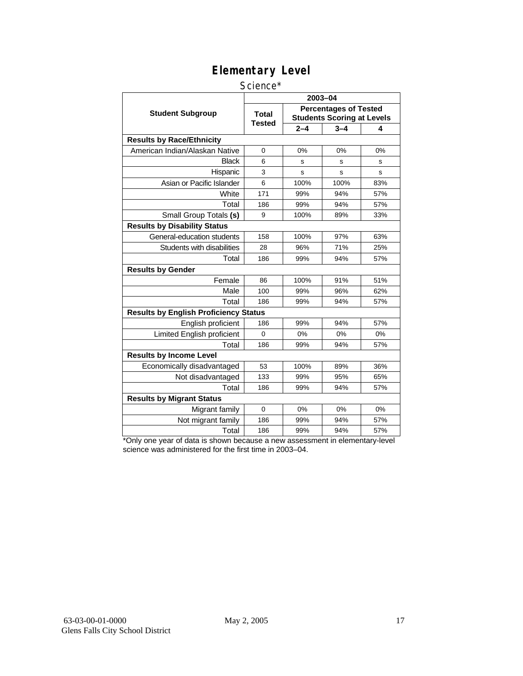#### Science\*

|                                              |                        | 2003-04 |                                                                   |     |  |  |  |  |
|----------------------------------------------|------------------------|---------|-------------------------------------------------------------------|-----|--|--|--|--|
| <b>Student Subgroup</b>                      | <b>Total</b><br>Tested |         | <b>Percentages of Tested</b><br><b>Students Scoring at Levels</b> |     |  |  |  |  |
|                                              |                        | $2 - 4$ | $3 - 4$                                                           | 4   |  |  |  |  |
| <b>Results by Race/Ethnicity</b>             |                        |         |                                                                   |     |  |  |  |  |
| American Indian/Alaskan Native               | $\Omega$               | 0%      | 0%                                                                | 0%  |  |  |  |  |
| <b>Black</b>                                 | 6                      | s       | s                                                                 | s   |  |  |  |  |
| Hispanic                                     | 3                      | S       | s                                                                 | s   |  |  |  |  |
| Asian or Pacific Islander                    | 6                      | 100%    | 100%                                                              | 83% |  |  |  |  |
| White                                        | 171                    | 99%     | 94%                                                               | 57% |  |  |  |  |
| Total                                        | 186                    | 99%     | 94%                                                               | 57% |  |  |  |  |
| Small Group Totals (s)                       | 9                      | 100%    | 89%                                                               | 33% |  |  |  |  |
| <b>Results by Disability Status</b>          |                        |         |                                                                   |     |  |  |  |  |
| General-education students                   | 158                    | 100%    | 97%                                                               | 63% |  |  |  |  |
| Students with disabilities                   | 28                     | 96%     | 71%                                                               | 25% |  |  |  |  |
| Total                                        | 186                    | 99%     | 94%                                                               | 57% |  |  |  |  |
| <b>Results by Gender</b>                     |                        |         |                                                                   |     |  |  |  |  |
| Female                                       | 86                     | 100%    | 91%                                                               | 51% |  |  |  |  |
| Male                                         | 100                    | 99%     | 96%                                                               | 62% |  |  |  |  |
| Total                                        | 186                    | 99%     | 94%                                                               | 57% |  |  |  |  |
| <b>Results by English Proficiency Status</b> |                        |         |                                                                   |     |  |  |  |  |
| English proficient                           | 186                    | 99%     | 94%                                                               | 57% |  |  |  |  |
| Limited English proficient                   | $\Omega$               | 0%      | 0%                                                                | 0%  |  |  |  |  |
| Total                                        | 186                    | 99%     | 94%                                                               | 57% |  |  |  |  |
| <b>Results by Income Level</b>               |                        |         |                                                                   |     |  |  |  |  |
| Economically disadvantaged                   | 53                     | 100%    | 89%                                                               | 36% |  |  |  |  |
| Not disadvantaged                            | 133                    | 99%     | 95%                                                               | 65% |  |  |  |  |
| Total                                        | 186                    | 99%     | 94%                                                               | 57% |  |  |  |  |
| <b>Results by Migrant Status</b>             |                        |         |                                                                   |     |  |  |  |  |
| Migrant family                               | $\Omega$               | 0%      | 0%                                                                | 0%  |  |  |  |  |
| Not migrant family                           | 186                    | 99%     | 94%                                                               | 57% |  |  |  |  |
| Total                                        | 186                    | 99%     | 94%                                                               | 57% |  |  |  |  |

\*Only one year of data is shown because a new assessment in elementary-level science was administered for the first time in 2003–04.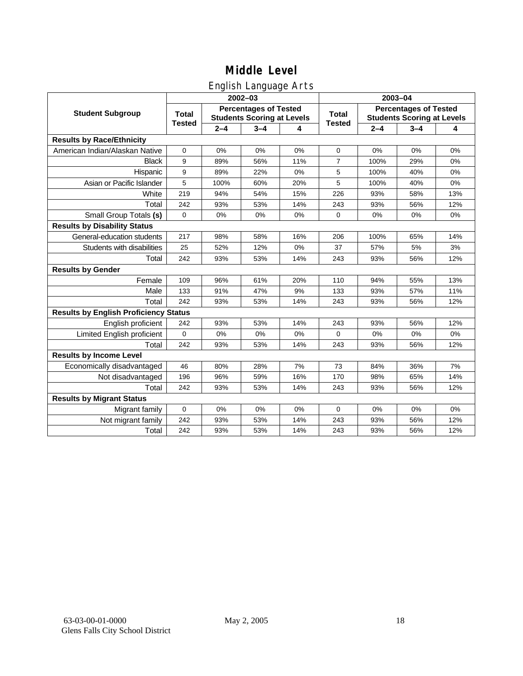#### English Language Arts

|                                              |                               |         | ັ<br>$2002 - 03$                                                  |     |                               | 2003-04                                                           |         |     |  |
|----------------------------------------------|-------------------------------|---------|-------------------------------------------------------------------|-----|-------------------------------|-------------------------------------------------------------------|---------|-----|--|
| <b>Student Subgroup</b>                      | <b>Total</b><br><b>Tested</b> |         | <b>Percentages of Tested</b><br><b>Students Scoring at Levels</b> |     | <b>Total</b><br><b>Tested</b> | <b>Percentages of Tested</b><br><b>Students Scoring at Levels</b> |         |     |  |
|                                              |                               | $2 - 4$ | $3 - 4$                                                           | 4   |                               | $2 - 4$                                                           | $3 - 4$ | 4   |  |
| <b>Results by Race/Ethnicity</b>             |                               |         |                                                                   |     |                               |                                                                   |         |     |  |
| American Indian/Alaskan Native               | $\mathbf 0$                   | 0%      | 0%                                                                | 0%  | 0                             | 0%                                                                | 0%      | 0%  |  |
| <b>Black</b>                                 | 9                             | 89%     | 56%                                                               | 11% | $\overline{7}$                | 100%                                                              | 29%     | 0%  |  |
| Hispanic                                     | 9                             | 89%     | 22%                                                               | 0%  | 5                             | 100%                                                              | 40%     | 0%  |  |
| Asian or Pacific Islander                    | 5                             | 100%    | 60%                                                               | 20% | 5                             | 100%                                                              | 40%     | 0%  |  |
| White                                        | 219                           | 94%     | 54%                                                               | 15% | 226                           | 93%                                                               | 58%     | 13% |  |
| Total                                        | 242                           | 93%     | 53%                                                               | 14% | 243                           | 93%                                                               | 56%     | 12% |  |
| Small Group Totals (s)                       | $\mathbf 0$                   | 0%      | 0%                                                                | 0%  | 0                             | 0%                                                                | 0%      | 0%  |  |
| <b>Results by Disability Status</b>          |                               |         |                                                                   |     |                               |                                                                   |         |     |  |
| General-education students                   | 217                           | 98%     | 58%                                                               | 16% | 206                           | 100%                                                              | 65%     | 14% |  |
| Students with disabilities                   | 25                            | 52%     | 12%                                                               | 0%  | 37                            | 57%                                                               | 5%      | 3%  |  |
| Total                                        | 242                           | 93%     | 53%                                                               | 14% | 243                           | 93%                                                               | 56%     | 12% |  |
| <b>Results by Gender</b>                     |                               |         |                                                                   |     |                               |                                                                   |         |     |  |
| Female                                       | 109                           | 96%     | 61%                                                               | 20% | 110                           | 94%                                                               | 55%     | 13% |  |
| Male                                         | 133                           | 91%     | 47%                                                               | 9%  | 133                           | 93%                                                               | 57%     | 11% |  |
| Total                                        | 242                           | 93%     | 53%                                                               | 14% | 243                           | 93%                                                               | 56%     | 12% |  |
| <b>Results by English Proficiency Status</b> |                               |         |                                                                   |     |                               |                                                                   |         |     |  |
| English proficient                           | 242                           | 93%     | 53%                                                               | 14% | 243                           | 93%                                                               | 56%     | 12% |  |
| Limited English proficient                   | $\Omega$                      | 0%      | 0%                                                                | 0%  | $\Omega$                      | 0%                                                                | 0%      | 0%  |  |
| Total                                        | 242                           | 93%     | 53%                                                               | 14% | 243                           | 93%                                                               | 56%     | 12% |  |
| <b>Results by Income Level</b>               |                               |         |                                                                   |     |                               |                                                                   |         |     |  |
| Economically disadvantaged                   | 46                            | 80%     | 28%                                                               | 7%  | 73                            | 84%                                                               | 36%     | 7%  |  |
| Not disadvantaged                            | 196                           | 96%     | 59%                                                               | 16% | 170                           | 98%                                                               | 65%     | 14% |  |
| Total                                        | 242                           | 93%     | 53%                                                               | 14% | 243                           | 93%                                                               | 56%     | 12% |  |
| <b>Results by Migrant Status</b>             |                               |         |                                                                   |     |                               |                                                                   |         |     |  |
| Migrant family                               | $\mathbf 0$                   | 0%      | 0%                                                                | 0%  | $\mathbf 0$                   | 0%                                                                | 0%      | 0%  |  |
| Not migrant family                           | 242                           | 93%     | 53%                                                               | 14% | 243                           | 93%                                                               | 56%     | 12% |  |
| Total                                        | 242                           | 93%     | 53%                                                               | 14% | 243                           | 93%                                                               | 56%     | 12% |  |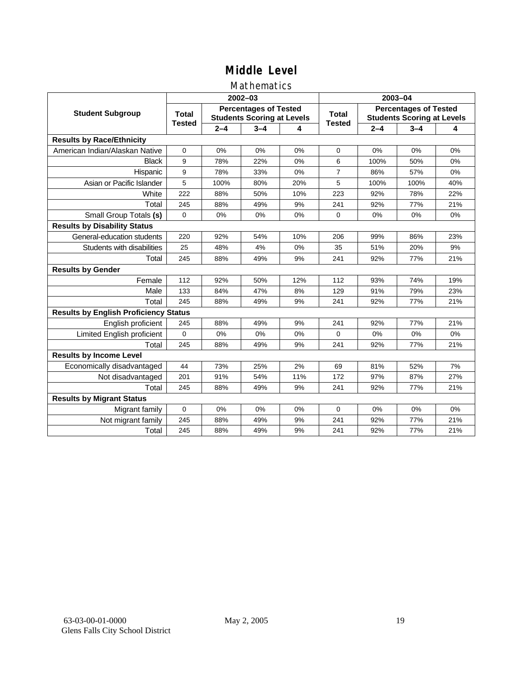#### Mathematics

|                                              |                               |         | $2002 - 03$                                                       |     | 2003-04                       |                                                                   |         |     |
|----------------------------------------------|-------------------------------|---------|-------------------------------------------------------------------|-----|-------------------------------|-------------------------------------------------------------------|---------|-----|
| <b>Student Subgroup</b>                      | <b>Total</b><br><b>Tested</b> |         | <b>Percentages of Tested</b><br><b>Students Scoring at Levels</b> |     | <b>Total</b><br><b>Tested</b> | <b>Percentages of Tested</b><br><b>Students Scoring at Levels</b> |         |     |
|                                              |                               | $2 - 4$ | $3 - 4$                                                           | 4   |                               | $2 - 4$                                                           | $3 - 4$ | 4   |
| <b>Results by Race/Ethnicity</b>             |                               |         |                                                                   |     |                               |                                                                   |         |     |
| American Indian/Alaskan Native               | 0                             | 0%      | 0%                                                                | 0%  | $\mathbf 0$                   | 0%                                                                | 0%      | 0%  |
| <b>Black</b>                                 | 9                             | 78%     | 22%                                                               | 0%  | 6                             | 100%                                                              | 50%     | 0%  |
| Hispanic                                     | 9                             | 78%     | 33%                                                               | 0%  | $\overline{7}$                | 86%                                                               | 57%     | 0%  |
| Asian or Pacific Islander                    | 5                             | 100%    | 80%                                                               | 20% | 5                             | 100%                                                              | 100%    | 40% |
| White                                        | 222                           | 88%     | 50%                                                               | 10% | 223                           | 92%                                                               | 78%     | 22% |
| Total                                        | 245                           | 88%     | 49%                                                               | 9%  | 241                           | 92%                                                               | 77%     | 21% |
| Small Group Totals (s)                       | $\Omega$                      | 0%      | 0%                                                                | 0%  | 0                             | 0%                                                                | 0%      | 0%  |
| <b>Results by Disability Status</b>          |                               |         |                                                                   |     |                               |                                                                   |         |     |
| General-education students                   | 220                           | 92%     | 54%                                                               | 10% | 206                           | 99%                                                               | 86%     | 23% |
| Students with disabilities                   | 25                            | 48%     | 4%                                                                | 0%  | 35                            | 51%                                                               | 20%     | 9%  |
| Total                                        | 245                           | 88%     | 49%                                                               | 9%  | 241                           | 92%                                                               | 77%     | 21% |
| <b>Results by Gender</b>                     |                               |         |                                                                   |     |                               |                                                                   |         |     |
| Female                                       | 112                           | 92%     | 50%                                                               | 12% | 112                           | 93%                                                               | 74%     | 19% |
| Male                                         | 133                           | 84%     | 47%                                                               | 8%  | 129                           | 91%                                                               | 79%     | 23% |
| Total                                        | 245                           | 88%     | 49%                                                               | 9%  | 241                           | 92%                                                               | 77%     | 21% |
| <b>Results by English Proficiency Status</b> |                               |         |                                                                   |     |                               |                                                                   |         |     |
| English proficient                           | 245                           | 88%     | 49%                                                               | 9%  | 241                           | 92%                                                               | 77%     | 21% |
| Limited English proficient                   | $\Omega$                      | 0%      | 0%                                                                | 0%  | $\Omega$                      | 0%                                                                | 0%      | 0%  |
| Total                                        | 245                           | 88%     | 49%                                                               | 9%  | 241                           | 92%                                                               | 77%     | 21% |
| <b>Results by Income Level</b>               |                               |         |                                                                   |     |                               |                                                                   |         |     |
| Economically disadvantaged                   | 44                            | 73%     | 25%                                                               | 2%  | 69                            | 81%                                                               | 52%     | 7%  |
| Not disadvantaged                            | 201                           | 91%     | 54%                                                               | 11% | 172                           | 97%                                                               | 87%     | 27% |
| Total                                        | 245                           | 88%     | 49%                                                               | 9%  | 241                           | 92%                                                               | 77%     | 21% |
| <b>Results by Migrant Status</b>             |                               |         |                                                                   |     |                               |                                                                   |         |     |
| Migrant family                               | 0                             | 0%      | 0%                                                                | 0%  | $\Omega$                      | 0%                                                                | 0%      | 0%  |
| Not migrant family                           | 245                           | 88%     | 49%                                                               | 9%  | 241                           | 92%                                                               | 77%     | 21% |
| Total                                        | 245                           | 88%     | 49%                                                               | 9%  | 241                           | 92%                                                               | 77%     | 21% |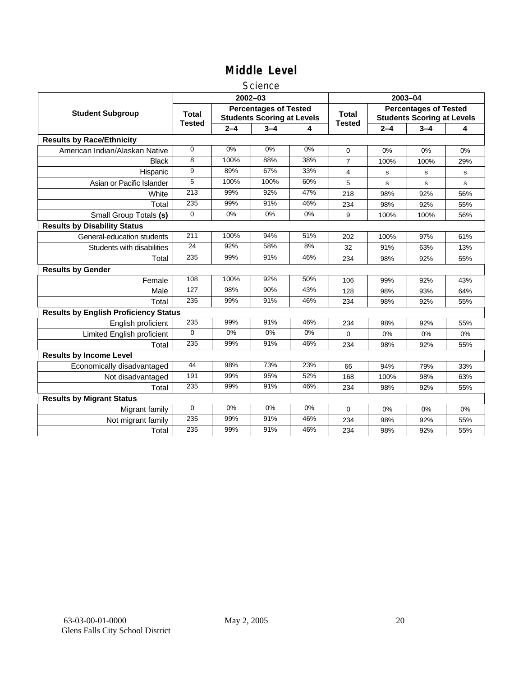#### **Science**

|                                              |                               |         | $2002 - 03$                                                       |       | 2003-04                       |                                                                   |         |     |
|----------------------------------------------|-------------------------------|---------|-------------------------------------------------------------------|-------|-------------------------------|-------------------------------------------------------------------|---------|-----|
| <b>Student Subgroup</b>                      | <b>Total</b><br><b>Tested</b> |         | <b>Percentages of Tested</b><br><b>Students Scoring at Levels</b> |       | <b>Total</b><br><b>Tested</b> | <b>Percentages of Tested</b><br><b>Students Scoring at Levels</b> |         |     |
|                                              |                               | $2 - 4$ | $3 - 4$                                                           | 4     |                               | $2 - 4$                                                           | $3 - 4$ | 4   |
| <b>Results by Race/Ethnicity</b>             |                               |         |                                                                   |       |                               |                                                                   |         |     |
| American Indian/Alaskan Native               | $\mathbf 0$                   | 0%      | 0%                                                                | 0%    | $\Omega$                      | 0%                                                                | 0%      | 0%  |
| <b>Black</b>                                 | 8                             | 100%    | 88%                                                               | 38%   | $\overline{7}$                | 100%                                                              | 100%    | 29% |
| Hispanic                                     | 9                             | 89%     | 67%                                                               | 33%   | 4                             | s                                                                 | s       | s   |
| Asian or Pacific Islander                    | 5                             | 100%    | 100%                                                              | 60%   | 5                             | s                                                                 | s       | s   |
| White                                        | 213                           | 99%     | 92%                                                               | 47%   | 218                           | 98%                                                               | 92%     | 56% |
| Total                                        | 235                           | 99%     | 91%                                                               | 46%   | 234                           | 98%                                                               | 92%     | 55% |
| Small Group Totals (s)                       | $\Omega$                      | 0%      | 0%                                                                | 0%    | 9                             | 100%                                                              | 100%    | 56% |
| <b>Results by Disability Status</b>          |                               |         |                                                                   |       |                               |                                                                   |         |     |
| General-education students                   | 211                           | 100%    | 94%                                                               | 51%   | 202                           | 100%                                                              | 97%     | 61% |
| Students with disabilities                   | $\overline{24}$               | 92%     | 58%                                                               | 8%    | 32                            | 91%                                                               | 63%     | 13% |
| Total                                        | 235                           | 99%     | 91%                                                               | 46%   | 234                           | 98%                                                               | 92%     | 55% |
| <b>Results by Gender</b>                     |                               |         |                                                                   |       |                               |                                                                   |         |     |
| Female                                       | 108                           | 100%    | 92%                                                               | 50%   | 106                           | 99%                                                               | 92%     | 43% |
| Male                                         | 127                           | 98%     | 90%                                                               | 43%   | 128                           | 98%                                                               | 93%     | 64% |
| Total                                        | 235                           | 99%     | 91%                                                               | 46%   | 234                           | 98%                                                               | 92%     | 55% |
| <b>Results by English Proficiency Status</b> |                               |         |                                                                   |       |                               |                                                                   |         |     |
| English proficient                           | 235                           | 99%     | 91%                                                               | 46%   | 234                           | 98%                                                               | 92%     | 55% |
| <b>Limited English proficient</b>            | $\Omega$                      | $0\%$   | 0%                                                                | $0\%$ | 0                             | 0%                                                                | 0%      | 0%  |
| Total                                        | 235                           | 99%     | 91%                                                               | 46%   | 234                           | 98%                                                               | 92%     | 55% |
| <b>Results by Income Level</b>               |                               |         |                                                                   |       |                               |                                                                   |         |     |
| Economically disadvantaged                   | 44                            | 98%     | 73%                                                               | 23%   | 66                            | 94%                                                               | 79%     | 33% |
| Not disadvantaged                            | 191                           | 99%     | 95%                                                               | 52%   | 168                           | 100%                                                              | 98%     | 63% |
| Total                                        | 235                           | 99%     | 91%                                                               | 46%   | 234                           | 98%                                                               | 92%     | 55% |
| <b>Results by Migrant Status</b>             |                               |         |                                                                   |       |                               |                                                                   |         |     |
| Migrant family                               | $\mathbf 0$                   | 0%      | 0%                                                                | 0%    | 0                             | 0%                                                                | 0%      | 0%  |
| Not migrant family                           | 235                           | 99%     | 91%                                                               | 46%   | 234                           | 98%                                                               | 92%     | 55% |
| Total                                        | 235                           | 99%     | 91%                                                               | 46%   | 234                           | 98%                                                               | 92%     | 55% |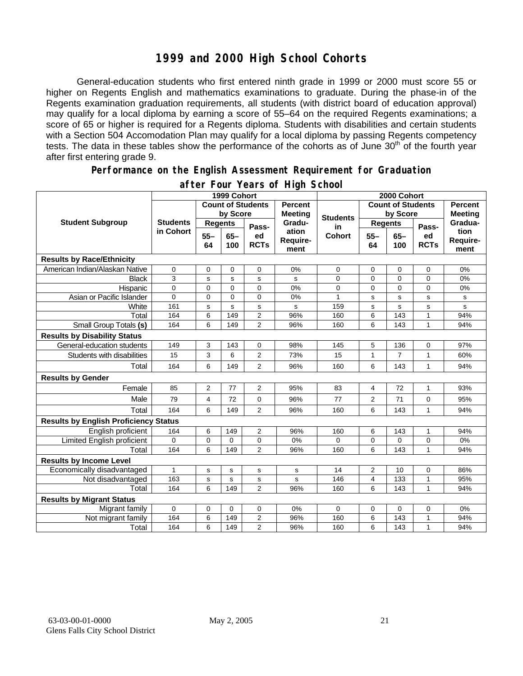#### **1999 and 2000 High School Cohorts**

General-education students who first entered ninth grade in 1999 or 2000 must score 55 or higher on Regents English and mathematics examinations to graduate. During the phase-in of the Regents examination graduation requirements, all students (with district board of education approval) may qualify for a local diploma by earning a score of 55–64 on the required Regents examinations; a score of 65 or higher is required for a Regents diploma. Students with disabilities and certain students with a Section 504 Accomodation Plan may qualify for a local diploma by passing Regents competency tests. The data in these tables show the performance of the cohorts as of June 30<sup>th</sup> of the fourth year after first entering grade 9.

#### **Performance on the English Assessment Requirement for Graduation**

|                                              |                              | 1999 Cohort              |                | 2000 Cohort       |                                  |                 |                          |                |                           |                          |
|----------------------------------------------|------------------------------|--------------------------|----------------|-------------------|----------------------------------|-----------------|--------------------------|----------------|---------------------------|--------------------------|
| <b>Student Subgroup</b>                      |                              | <b>Count of Students</b> |                |                   | <b>Percent</b><br><b>Meeting</b> |                 | <b>Count of Students</b> |                | Percent<br><b>Meeting</b> |                          |
|                                              | <b>Students</b><br>in Cohort | by Score                 |                |                   |                                  | <b>Students</b> | by Score                 |                |                           |                          |
|                                              |                              | <b>Regents</b>           |                | Pass-             | Gradu-                           | in              | <b>Regents</b>           |                | Pass-                     | Gradua-                  |
|                                              |                              | $55 -$<br>64             | $65 -$<br>100  | ed<br><b>RCTs</b> | ation<br>Require-<br>ment        | <b>Cohort</b>   | $55 -$<br>64             | $65 -$<br>100  | ed<br><b>RCTs</b>         | tion<br>Require-<br>ment |
| <b>Results by Race/Ethnicity</b>             |                              |                          |                |                   |                                  |                 |                          |                |                           |                          |
| American Indian/Alaskan Native               | $\mathbf 0$                  | 0                        | 0              | $\mathbf 0$       | 0%                               | 0               | 0                        | 0              | $\mathbf 0$               | 0%                       |
| <b>Black</b>                                 | 3                            | s                        | s              | s                 | s                                | 0               | $\overline{0}$           | $\overline{0}$ | 0                         | 0%                       |
| Hispanic                                     | $\pmb{0}$                    | 0                        | 0              | 0                 | 0%                               | 0               | 0                        | 0              | 0                         | 0%                       |
| Asian or Pacific Islander                    | $\overline{0}$               | $\overline{0}$           | $\overline{0}$ | $\overline{0}$    | 0%                               | $\mathbf{1}$    | s                        | s              | s                         | s                        |
| White                                        | 161                          | s                        | $\mathbf s$    | s                 | s                                | 159             | s                        | s              | s                         | s                        |
| Total                                        | 164                          | 6                        | 149            | 2                 | 96%                              | 160             | 6                        | 143            | $\mathbf{1}$              | 94%                      |
| Small Group Totals (s)                       | 164                          | 6                        | 149            | $\overline{2}$    | 96%                              | 160             | 6                        | 143            | 1                         | 94%                      |
| <b>Results by Disability Status</b>          |                              |                          |                |                   |                                  |                 |                          |                |                           |                          |
| General-education students                   | 149                          | 3                        | 143            | 0                 | 98%                              | 145             | 5                        | 136            | 0                         | 97%                      |
| Students with disabilities                   | 15                           | 3                        | 6              | $\overline{2}$    | 73%                              | 15              | 1                        | $\overline{7}$ | 1                         | 60%                      |
| Total                                        | 164                          | 6                        | 149            | $\overline{2}$    | 96%                              | 160             | 6                        | 143            | 1                         | 94%                      |
| <b>Results by Gender</b>                     |                              |                          |                |                   |                                  |                 |                          |                |                           |                          |
| Female                                       | 85                           | $\overline{2}$           | 77             | $\overline{2}$    | 95%                              | 83              | 4                        | 72             | 1                         | 93%                      |
| Male                                         | 79                           | 4                        | 72             | $\mathbf 0$       | 96%                              | 77              | $\overline{2}$           | 71             | $\mathbf 0$               | 95%                      |
| Total                                        | 164                          | 6                        | 149            | $\overline{2}$    | 96%                              | 160             | 6                        | 143            | 1                         | 94%                      |
| <b>Results by English Proficiency Status</b> |                              |                          |                |                   |                                  |                 |                          |                |                           |                          |
| English proficient                           | 164                          | 6                        | 149            | 2                 | 96%                              | 160             | 6                        | 143            | 1                         | 94%                      |
| Limited English proficient                   | $\Omega$                     | 0                        | $\mathbf 0$    | 0                 | 0%                               | 0               | 0                        | 0              | $\mathbf 0$               | 0%                       |
| Total                                        | 164                          | 6                        | 149            | $\overline{2}$    | 96%                              | 160             | 6                        | 143            | $\mathbf{1}$              | 94%                      |
| <b>Results by Income Level</b>               |                              |                          |                |                   |                                  |                 |                          |                |                           |                          |
| Economically disadvantaged                   | 1                            | s                        | s              | s                 | s                                | 14              | $\overline{2}$           | 10             | 0                         | 86%                      |
| Not disadvantaged                            | 163                          | $\mathbf s$              | s              | s                 | s                                | 146             | 4                        | 133            | 1                         | 95%                      |
| Total                                        | 164                          | 6                        | 149            | $\overline{2}$    | 96%                              | 160             | 6                        | 143            | $\mathbf{1}$              | 94%                      |
| <b>Results by Migrant Status</b>             |                              |                          |                |                   |                                  |                 |                          |                |                           |                          |
| Migrant family                               | $\mathbf 0$                  | 0                        | 0              | 0                 | 0%                               | $\Omega$        | 0                        | 0              | 0                         | 0%                       |
| Not migrant family                           | 164                          | 6                        | 149            | 2                 | 96%                              | 160             | 6                        | 143            | 1                         | 94%                      |
| Total                                        | 164                          | 6                        | 149            | 2                 | 96%                              | 160             | 6                        | 143            | 1                         | 94%                      |

#### **after Four Years of High School**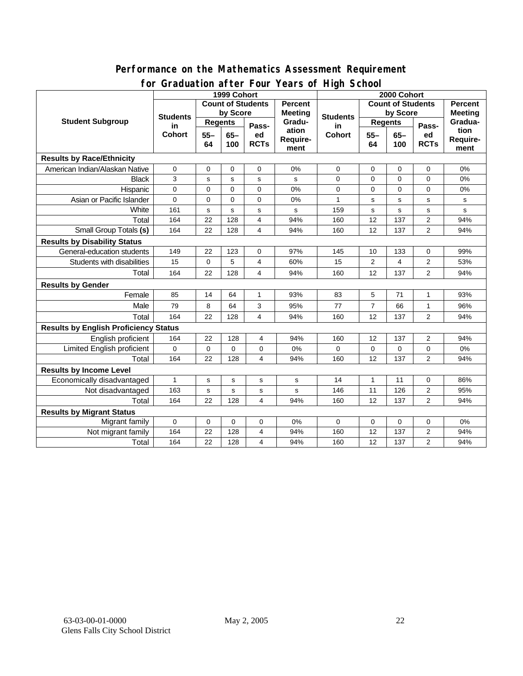#### **for Graduation after Four Years of High School 1999 Cohort Count of Students by Score Count of Students by Score** Student Subgroup Students **Busicial Students** Regents **Regents Student Students Regents in Cohort 55– 64 65– 100 Passed RCTs Percent Meeting Graduation Requirement Students in Cohort 55– 64 65– 100 Passed RCTs Percent Meeting Graduation Requirement Results by Race/Ethnicity**  American Indian/Alaskan Native 0 0 0 0 0% 0 0 0 0 0% Black | 3 | s | s | s | 0 | 0 | 0 | 0 | 0% Hispanic 0 0 0 0 0% 0 0 0 0 0% Asian or Pacific Islander 0 0 0 0 0 0 0 0 0 0 0 0 1 s s s s s White | 161 | s | s | s | s | 159 | s | s | s | s Total 164 22 128 4 94% 160 12 137 2 94% Small Group Totals **(s)** 164 22 128 4 94% 160 12 137 2 94% **Results by Disability Status**  General-education students | 149 | 22 | 123 | 0 | 97% | 145 | 10 | 133 | 0 | 99% Students with disabilities | 15 | 0 | 5 | 4 | 60% | 15 | 2 | 4 | 2 | 53% Total 164 22 128 4 94% 160 12 137 2 94% **Results by Gender**  Female | 85 | 14 | 64 | 1 | 93% | 83 | 5 | 71 | 1 | 93% Male 79 8 64 3 95% 77 7 66 1 96% Total 164 22 128 4 94% 160 12 137 2 94% **Results by English Proficiency Status**  English proficient | 164 | 22 | 128 | 4 | 94% | 160 | 12 | 137 | 2 | 94% Limited English proficient 0 0 0 0 0% 0 0 0 0 0% Total | 164 | 22 | 128 | 4 | 94% | 160 | 12 | 137 | 2 | 94% **Results by Income Level**  Economically disadvantaged 1 s s s s 14 1 1 0 86% Not disadvantaged 163 s s s s 146 11 126 2 95% Total | 164 | 22 | 128 | 4 | 94% | 160 | 12 | 137 | 2 | 94% **Results by Migrant Status**  Migrant family 0 0 0 0 0% 0 0 0 0 0% Not migrant family 164 22 128 4 94% 160 12 137 2 94%

Total | 164 | 22 | 128 | 4 | 94% | 160 | 12 | 137 | 2 | 94%

# **Performance on the Mathematics Assessment Requirement**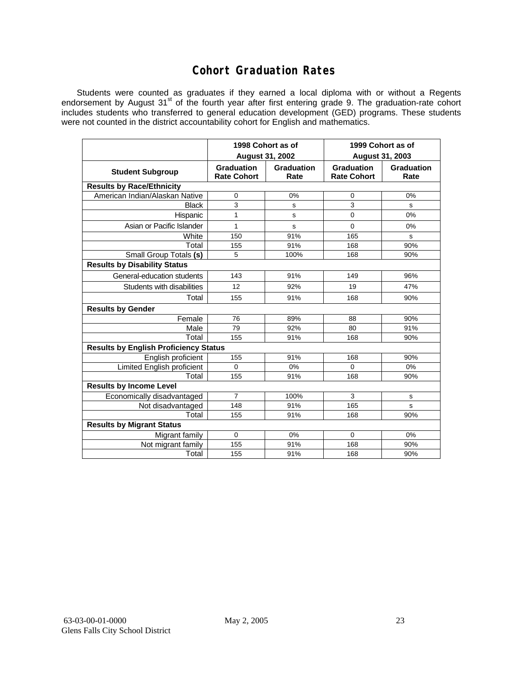#### **Cohort Graduation Rates**

Students were counted as graduates if they earned a local diploma with or without a Regents endorsement by August 31<sup>st</sup> of the fourth year after first entering grade 9. The graduation-rate cohort includes students who transferred to general education development (GED) programs. These students were not counted in the district accountability cohort for English and mathematics.

|                                              |                                         | 1998 Cohort as of         | 1999 Cohort as of                |                    |  |  |  |  |  |  |
|----------------------------------------------|-----------------------------------------|---------------------------|----------------------------------|--------------------|--|--|--|--|--|--|
|                                              |                                         | <b>August 31, 2002</b>    | August 31, 2003                  |                    |  |  |  |  |  |  |
| <b>Student Subgroup</b>                      | <b>Graduation</b><br><b>Rate Cohort</b> | <b>Graduation</b><br>Rate | Graduation<br><b>Rate Cohort</b> | Graduation<br>Rate |  |  |  |  |  |  |
| <b>Results by Race/Ethnicity</b>             |                                         |                           |                                  |                    |  |  |  |  |  |  |
| American Indian/Alaskan Native               | $\mathbf 0$                             | 0%                        | $\mathbf 0$                      | 0%                 |  |  |  |  |  |  |
| <b>Black</b>                                 | 3                                       | s                         | 3                                | s                  |  |  |  |  |  |  |
| Hispanic                                     | 1                                       | s                         | $\mathbf 0$                      | 0%                 |  |  |  |  |  |  |
| Asian or Pacific Islander                    | 1                                       | s                         | 0                                | 0%                 |  |  |  |  |  |  |
| White                                        | 150                                     | 91%                       | 165                              | s                  |  |  |  |  |  |  |
| Total                                        | 155                                     | 91%                       | 168                              | 90%                |  |  |  |  |  |  |
| Small Group Totals (s)                       | 5                                       | 100%                      | 168                              | 90%                |  |  |  |  |  |  |
| <b>Results by Disability Status</b>          |                                         |                           |                                  |                    |  |  |  |  |  |  |
| General-education students                   | 143                                     | 91%                       | 149                              | 96%                |  |  |  |  |  |  |
| Students with disabilities                   | 12                                      | 92%                       | 19                               | 47%                |  |  |  |  |  |  |
| Total                                        | 155                                     | 91%                       | 168                              | 90%                |  |  |  |  |  |  |
| <b>Results by Gender</b>                     |                                         |                           |                                  |                    |  |  |  |  |  |  |
| Female                                       | 76                                      | 89%                       | 88                               | 90%                |  |  |  |  |  |  |
| Male                                         | 79                                      | 92%                       | 80                               | 91%                |  |  |  |  |  |  |
| Total                                        | 155                                     | 91%                       | 168                              | 90%                |  |  |  |  |  |  |
| <b>Results by English Proficiency Status</b> |                                         |                           |                                  |                    |  |  |  |  |  |  |
| English proficient                           | 155                                     | 91%                       | 168                              | 90%                |  |  |  |  |  |  |
| Limited English proficient                   | $\mathbf{0}$                            | 0%                        | $\Omega$                         | 0%                 |  |  |  |  |  |  |
| Total                                        | 155                                     | 91%                       | 168                              | 90%                |  |  |  |  |  |  |
| <b>Results by Income Level</b>               |                                         |                           |                                  |                    |  |  |  |  |  |  |
| Economically disadvantaged                   | $\overline{7}$                          | 100%                      | 3                                | s                  |  |  |  |  |  |  |
| Not disadvantaged                            | 148                                     | 91%                       | 165                              | s                  |  |  |  |  |  |  |
| Total                                        | 155                                     | 91%                       | 168                              | 90%                |  |  |  |  |  |  |
| <b>Results by Migrant Status</b>             |                                         |                           |                                  |                    |  |  |  |  |  |  |
| Migrant family                               | $\Omega$                                | 0%                        | $\mathbf 0$                      | 0%                 |  |  |  |  |  |  |
| Not migrant family                           | 155                                     | 91%                       | 168                              | 90%                |  |  |  |  |  |  |
| Total                                        | 155                                     | 91%                       | 168                              | 90%                |  |  |  |  |  |  |